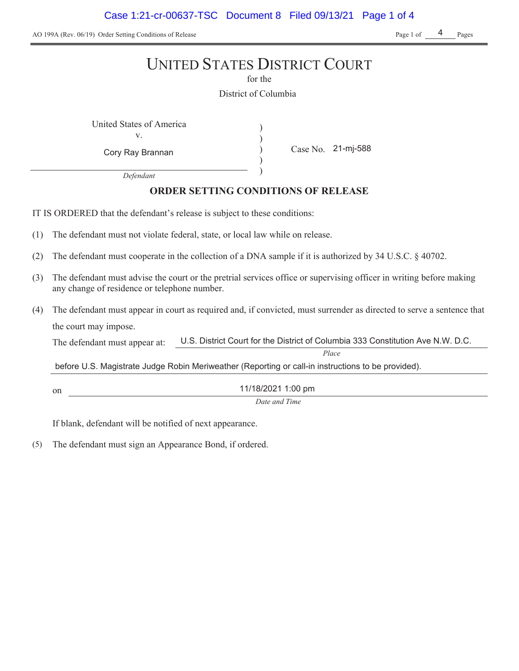AO 199A (Rev. 06/19) Order Setting Conditions of Release Page 1 of Pages Page 1 of Pages

4

# UNITED STATES DISTRICT COURT

for the

District of Columbia

) ) ) )

United States of America (1992) v.

Case No. Cory Ray Brannan 21-mj-588

*Defendant*

# **ORDER SETTING CONDITIONS OF RELEASE**

IT IS ORDERED that the defendant's release is subject to these conditions:

- The defendant must not violate federal, state, or local law while on release.
- (2) The defendant must cooperate in the collection of a DNA sample if it is authorized by  $34 \text{ U.S.C.}$   $\S$   $40702$ .
- The defendant must advise the court or the pretrial services office or supervising officer in writing before making any change of residence or telephone number.
- The defendant must appear in court as required and, if convicted, must surrender as directed to serve a sentence that the court may impose.

The defendant must appear at: U.S. District Court for the District of Columbia 333 Constitution Ave N.W. D.C.

*Place*

before U.S. Magistrate Judge Robin Meriweather (Reporting or call-in instructions to be provided).

11/18/2021 1:00 pm

*Date and Time*

If blank, defendant will be notified of next appearance.

on

(5) The defendant must sign an Appearance Bond, if ordered.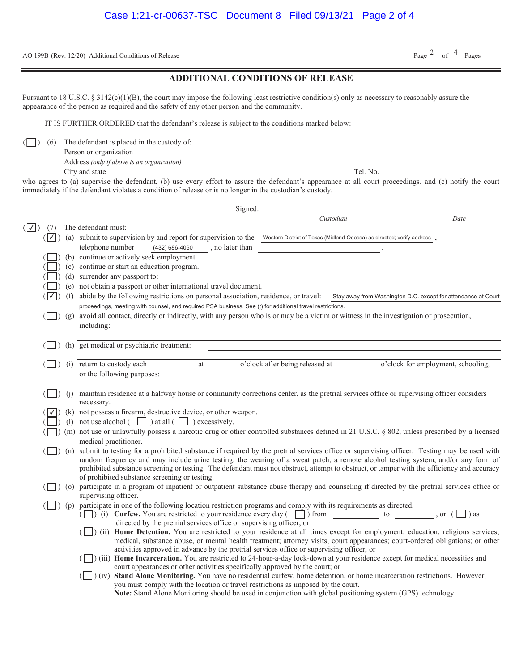AO 199B (Rev. 12/20) Additional Conditions of Release

#### **ADDITIONAL CONDITIONS OF RELEASE**

Pursuant to 18 U.S.C. § 3142(c)(1)(B), the court may impose the following least restrictive condition(s) only as necessary to reasonably assure the appearance of the person as required and the safety of any other person and the community.

IT IS FURTHER ORDERED that the defendant's release is subject to the conditions marked below:

 $\Box$ ) (6) The defendant is placed in the custody of:

| Person or organization                     |             |
|--------------------------------------------|-------------|
| Address (only if above is an organization) |             |
| City and state                             | No.<br>Tel. |

who agrees to (a) supervise the defendant, (b) use every effort to assure the defendant's appearance at all court proceedings, and (c) notify the court immediately if the defendant violates a condition of release or is no longer in the custodian's custody.

| Signed:                         |                      |                                                                                                                                                                                                              |
|---------------------------------|----------------------|--------------------------------------------------------------------------------------------------------------------------------------------------------------------------------------------------------------|
|                                 |                      | Custodian<br>Date                                                                                                                                                                                            |
| $(\lceil \sqrt{\rceil})$<br>(7) |                      | The defendant must:                                                                                                                                                                                          |
| $( \vee )$                      |                      | (a) submit to supervision by and report for supervision to the Western District of Texas (Midland-Odessa) as directed; verify address                                                                        |
|                                 |                      | telephone number<br>, no later than<br>(432) 686-4060                                                                                                                                                        |
|                                 |                      | (b) continue or actively seek employment.                                                                                                                                                                    |
|                                 |                      | (c) continue or start an education program.                                                                                                                                                                  |
|                                 |                      | (d) surrender any passport to:                                                                                                                                                                               |
|                                 |                      | (e) not obtain a passport or other international travel document.                                                                                                                                            |
|                                 | (f)                  | abide by the following restrictions on personal association, residence, or travel:<br>Stay away from Washington D.C. except for attendance at Court                                                          |
|                                 |                      | proceedings, meeting with counsel, and required PSA business. See (t) for additional travel restrictions.                                                                                                    |
|                                 |                      | (g) avoid all contact, directly or indirectly, with any person who is or may be a victim or witness in the investigation or prosecution,                                                                     |
|                                 |                      | including:<br><u> 1980 - Jan Samuel Barbara, martin da shekara 1980 - An tsa a tsa a tsa a tsa a tsa a tsa a tsa a tsa a tsa a</u>                                                                           |
|                                 |                      |                                                                                                                                                                                                              |
|                                 |                      | (h) get medical or psychiatric treatment:                                                                                                                                                                    |
|                                 |                      | o'clock after being released at<br>o'clock for employment, schooling,<br>(i) return to custody each<br>at                                                                                                    |
|                                 |                      | or the following purposes:                                                                                                                                                                                   |
|                                 |                      |                                                                                                                                                                                                              |
|                                 | (i)                  | maintain residence at a halfway house or community corrections center, as the pretrial services office or supervising officer considers                                                                      |
|                                 |                      | necessary.                                                                                                                                                                                                   |
|                                 |                      | (k) not possess a firearm, destructive device, or other weapon.                                                                                                                                              |
|                                 |                      | (1) not use alcohol $\begin{array}{ c c c c c } \hline \end{array}$ ) at all $\begin{array}{ c c c c c } \hline \end{array}$ ) excessively.                                                                  |
|                                 |                      | (m) not use or unlawfully possess a narcotic drug or other controlled substances defined in 21 U.S.C. § 802, unless prescribed by a licensed                                                                 |
|                                 |                      | medical practitioner.                                                                                                                                                                                        |
|                                 |                      | (n) submit to testing for a prohibited substance if required by the pretrial services office or supervising officer. Testing may be used with                                                                |
|                                 |                      | random frequency and may include urine testing, the wearing of a sweat patch, a remote alcohol testing system, and/or any form of                                                                            |
|                                 |                      | prohibited substance screening or testing. The defendant must not obstruct, attempt to obstruct, or tamper with the efficiency and accuracy                                                                  |
|                                 |                      | of prohibited substance screening or testing.                                                                                                                                                                |
|                                 | $\left  \right)$ (o) | participate in a program of inpatient or outpatient substance abuse therapy and counseling if directed by the pretrial services office or<br>supervising officer.                                            |
|                                 |                      | $\Box$ ) (p) participate in one of the following location restriction programs and comply with its requirements as directed.                                                                                 |
|                                 |                      | ( $\Box$ ) (i) Curfew. You are restricted to your residence every day ( $\Box$ ) from $\Box$ to $\Box$ , or ( $\Box$ ) as                                                                                    |
|                                 |                      | directed by the pretrial services office or supervising officer; or                                                                                                                                          |
|                                 |                      | (ii) Home Detention. You are restricted to your residence at all times except for employment; education; religious services;                                                                                 |
|                                 |                      | medical, substance abuse, or mental health treatment; attorney visits; court appearances; court-ordered obligations; or other                                                                                |
|                                 |                      | activities approved in advance by the pretrial services office or supervising officer; or                                                                                                                    |
|                                 |                      | (iii) Home Incarceration. You are restricted to 24-hour-a-day lock-down at your residence except for medical necessities and<br>court appearances or other activities specifically approved by the court; or |
|                                 |                      | (iv) Stand Alone Monitoring. You have no residential curfew, home detention, or home incarceration restrictions. However,                                                                                    |
|                                 |                      | you must comply with the location or travel restrictions as imposed by the court.                                                                                                                            |
|                                 |                      | Note: Stand Alone Monitoring should be used in conjunction with global positioning system (GPS) technology.                                                                                                  |
|                                 |                      |                                                                                                                                                                                                              |

Page  $\frac{2}{2}$  of  $\frac{4}{2}$  Pages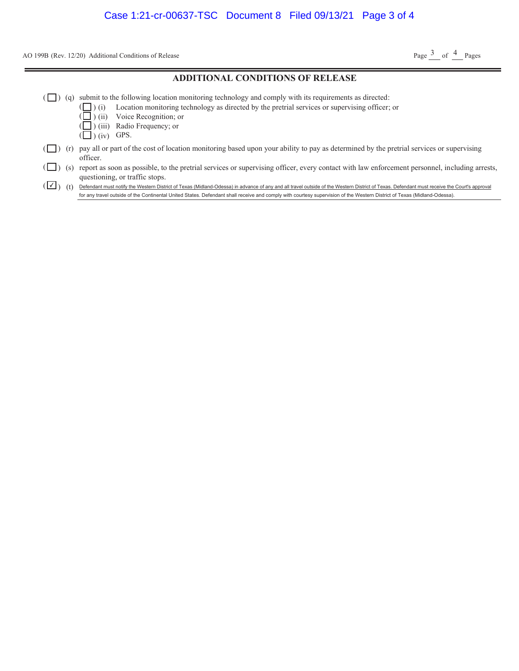AO 199B (Rev. 12/20) Additional Conditions of Release

Page  $\frac{3}{2}$  of  $\frac{4}{2}$  Pages

#### **ADDITIONAL CONDITIONS OF RELEASE**

- $(\Box)$  (q) submit to the following location monitoring technology and comply with its requirements as directed:
	- ) (i) Location monitoring technology as directed by the pretrial services or supervising officer; or
	- ) (ii) Voice Recognition; or
	- ) (iii) Radio Frequency; or
	- $\left(\Box\right)$  (iv) GPS.

( ( (

- $(\Box)$  (r) pay all or part of the cost of location monitoring based upon your ability to pay as determined by the pretrial services or supervising officer.
- ( ) (s) report as soon as possible, to the pretrial services or supervising officer, every contact with law enforcement personnel, including arrests, questioning, or traffic stops.

( √ ) (t) Defendant must notify the Western District of Texas (Midland-Odessa) in advance of any and all travel outside of the Western District of Texas. Defendant must receive the Court's approval for any travel outside of the Continental United States. Defendant shall receive and comply with courtesy supervision of the Western District of Texas (Midland-Odessa).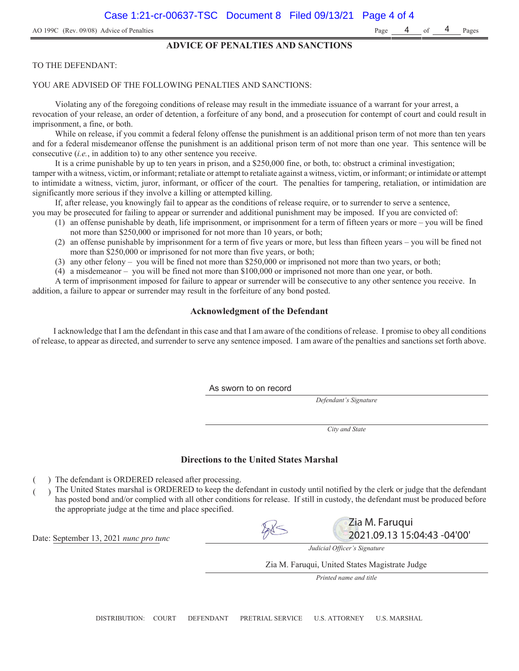#### **ADVICE OF PENALTIES AND SANCTIONS**

#### TO THE DEFENDANT:

#### YOU ARE ADVISED OF THE FOLLOWING PENALTIES AND SANCTIONS:

Violating any of the foregoing conditions of release may result in the immediate issuance of a warrant for your arrest, a revocation of your release, an order of detention, a forfeiture of any bond, and a prosecution for contempt of court and could result in imprisonment, a fine, or both.

While on release, if you commit a federal felony offense the punishment is an additional prison term of not more than ten years and for a federal misdemeanor offense the punishment is an additional prison term of not more than one year. This sentence will be consecutive (*i.e.*, in addition to) to any other sentence you receive.

It is a crime punishable by up to ten years in prison, and a \$250,000 fine, or both, to: obstruct a criminal investigation; tamper with a witness, victim, or informant; retaliate or attempt to retaliate against a witness, victim, or informant; or intimidate or attempt to intimidate a witness, victim, juror, informant, or officer of the court. The penalties for tampering, retaliation, or intimidation are significantly more serious if they involve a killing or attempted killing.

If, after release, you knowingly fail to appear as the conditions of release require, or to surrender to serve a sentence,

- you may be prosecuted for failing to appear or surrender and additional punishment may be imposed. If you are convicted of:
	- (1) an offense punishable by death, life imprisonment, or imprisonment for a term of fifteen years or more you will be fined not more than \$250,000 or imprisoned for not more than 10 years, or both;
	- (2) an offense punishable by imprisonment for a term of five years or more, but less than fifteen years you will be fined not more than \$250,000 or imprisoned for not more than five years, or both;
	- (3) any other felony you will be fined not more than \$250,000 or imprisoned not more than two years, or both;
	- (4) a misdemeanor you will be fined not more than \$100,000 or imprisoned not more than one year, or both.

A term of imprisonment imposed for failure to appear or surrender will be consecutive to any other sentence you receive. In addition, a failure to appear or surrender may result in the forfeiture of any bond posted.

#### **Acknowledgment of the Defendant**

I acknowledge that I am the defendant in this case and that I am aware of the conditions of release. I promise to obey all conditions of release, to appear as directed, and surrender to serve any sentence imposed. I am aware of the penalties and sanctions set forth above.

As sworn to on record

*Defendant's Signature*

*City and State*

#### **Directions to the United States Marshal**

- ) The defendant is ORDERED released after processing.
- ) The United States marshal is ORDERED to keep the defendant in custody until notified by the clerk or judge that the defendant has posted bond and/or complied with all other conditions for release. If still in custody, the defendant must be produced before the appropriate judge at the time and place specified.

Date: September 13, 2021 nunc pro tunc

*Judicial Officer's Signature*

Zia M. Faruqui

2021.09.13 15:04:43 -04'00'

Zia M. Faruqui, United States Magistrate Judge

*Printed name and title*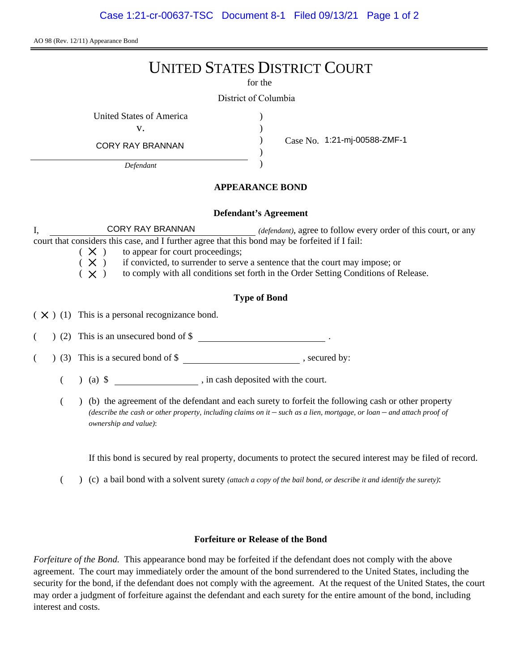AO 98 (Rev. 12/11) Appearance Bond

# UNITED STATES DISTRICT COURT

for the

) ) ) )

District of Columbia

United States of America (1996)

v.

CORY RAY BRANNAN

*Defendant*

Case No. 1:21-mj-00588-ZMF-1

## **APPEARANCE BOND**

### **Defendant's Agreement**

I, **CORY RAY BRANNAN** *(defendant)*, agree to follow every order of this court, or any court that considers this case, and I further agree that this bond may be forfeited if I fail: CORY RAY BRANNAN

 $(X)$  to appear for court proceedings;

 $(X)$  if convicted, to surrender to serve a sentence that the court may impose; or

 $(X)$  to comply with all conditions set forth in the Order Setting Conditions of Release.

# **Type of Bond**

 $(X)$  (1) This is a personal recognizance bond.

 $($   $)$  (2) This is an unsecured bond of \$

 $($   $)$  (3) This is a secured bond of \$, secured by:

(a) \$ , in cash deposited with the court.

( ) (b) the agreement of the defendant and each surety to forfeit the following cash or other property *(describe the cash or other property, including claims on it – such as a lien, mortgage, or loan – and attach proof of ownership and value)*:

If this bond is secured by real property, documents to protect the secured interest may be filed of record.

( ) (c) a bail bond with a solvent surety *(attach a copy of the bail bond, or describe it and identify the surety)*:

### **Forfeiture or Release of the Bond**

*Forfeiture of the Bond.* This appearance bond may be forfeited if the defendant does not comply with the above agreement. The court may immediately order the amount of the bond surrendered to the United States, including the security for the bond, if the defendant does not comply with the agreement. At the request of the United States, the court may order a judgment of forfeiture against the defendant and each surety for the entire amount of the bond, including interest and costs.